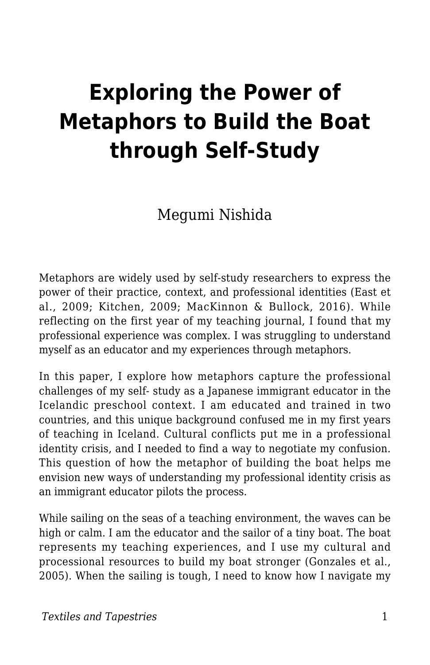# **Exploring the Power of Metaphors to Build the Boat through Self-Study**

Megumi Nishida

Metaphors are widely used by self-study researchers to express the power of their practice, context, and professional identities (East et al., 2009; Kitchen, 2009; MacKinnon & Bullock, 2016). While reflecting on the first year of my teaching journal, I found that my professional experience was complex. I was struggling to understand myself as an educator and my experiences through metaphors.

In this paper, I explore how metaphors capture the professional challenges of my self- study as a Japanese immigrant educator in the Icelandic preschool context. I am educated and trained in two countries, and this unique background confused me in my first years of teaching in Iceland. Cultural conflicts put me in a professional identity crisis, and I needed to find a way to negotiate my confusion. This question of how the metaphor of building the boat helps me envision new ways of understanding my professional identity crisis as an immigrant educator pilots the process.

While sailing on the seas of a teaching environment, the waves can be high or calm. I am the educator and the sailor of a tiny boat. The boat represents my teaching experiences, and I use my cultural and processional resources to build my boat stronger (Gonzales et al., 2005). When the sailing is tough, I need to know how I navigate my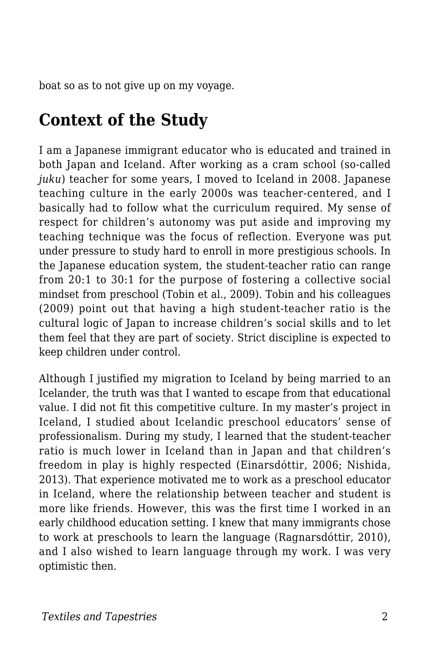boat so as to not give up on my voyage.

## **Context of the Study**

I am a Japanese immigrant educator who is educated and trained in both Japan and Iceland. After working as a cram school (so-called *juku*) teacher for some years, I moved to Iceland in 2008. Japanese teaching culture in the early 2000s was teacher-centered, and I basically had to follow what the curriculum required. My sense of respect for children's autonomy was put aside and improving my teaching technique was the focus of reflection. Everyone was put under pressure to study hard to enroll in more prestigious schools. In the Japanese education system, the student-teacher ratio can range from 20:1 to 30:1 for the purpose of fostering a collective social mindset from preschool (Tobin et al., 2009). Tobin and his colleagues (2009) point out that having a high student-teacher ratio is the cultural logic of Japan to increase children's social skills and to let them feel that they are part of society. Strict discipline is expected to keep children under control.

Although I justified my migration to Iceland by being married to an Icelander, the truth was that I wanted to escape from that educational value. I did not fit this competitive culture. In my master's project in Iceland, I studied about Icelandic preschool educators' sense of professionalism. During my study, I learned that the student-teacher ratio is much lower in Iceland than in Japan and that children's freedom in play is highly respected (Einarsdóttir, 2006; Nishida, 2013). That experience motivated me to work as a preschool educator in Iceland, where the relationship between teacher and student is more like friends. However, this was the first time I worked in an early childhood education setting. I knew that many immigrants chose to work at preschools to learn the language (Ragnarsdóttir, 2010), and I also wished to learn language through my work. I was very optimistic then.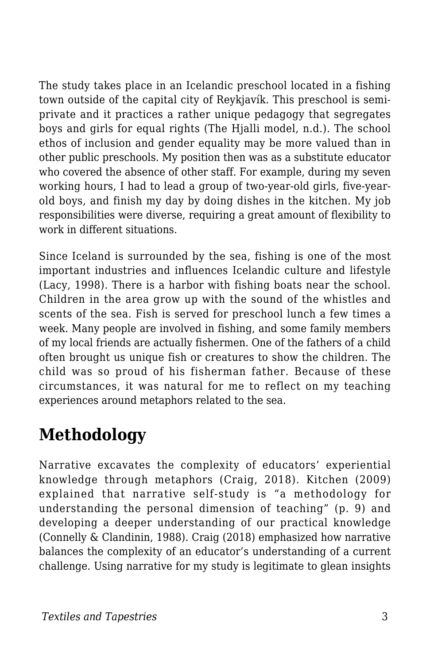The study takes place in an Icelandic preschool located in a fishing town outside of the capital city of Reykjavík. This preschool is semiprivate and it practices a rather unique pedagogy that segregates boys and girls for equal rights (The Hjalli model, n.d.). The school ethos of inclusion and gender equality may be more valued than in other public preschools. My position then was as a substitute educator who covered the absence of other staff. For example, during my seven working hours, I had to lead a group of two-year-old girls, five-yearold boys, and finish my day by doing dishes in the kitchen. My job responsibilities were diverse, requiring a great amount of flexibility to work in different situations.

Since Iceland is surrounded by the sea, fishing is one of the most important industries and influences Icelandic culture and lifestyle (Lacy, 1998). There is a harbor with fishing boats near the school. Children in the area grow up with the sound of the whistles and scents of the sea. Fish is served for preschool lunch a few times a week. Many people are involved in fishing, and some family members of my local friends are actually fishermen. One of the fathers of a child often brought us unique fish or creatures to show the children. The child was so proud of his fisherman father. Because of these circumstances, it was natural for me to reflect on my teaching experiences around metaphors related to the sea.

## **Methodology**

Narrative excavates the complexity of educators' experiential knowledge through metaphors (Craig, 2018). Kitchen (2009) explained that narrative self-study is "a methodology for understanding the personal dimension of teaching" (p. 9) and developing a deeper understanding of our practical knowledge (Connelly & Clandinin, 1988). Craig (2018) emphasized how narrative balances the complexity of an educator's understanding of a current challenge. Using narrative for my study is legitimate to glean insights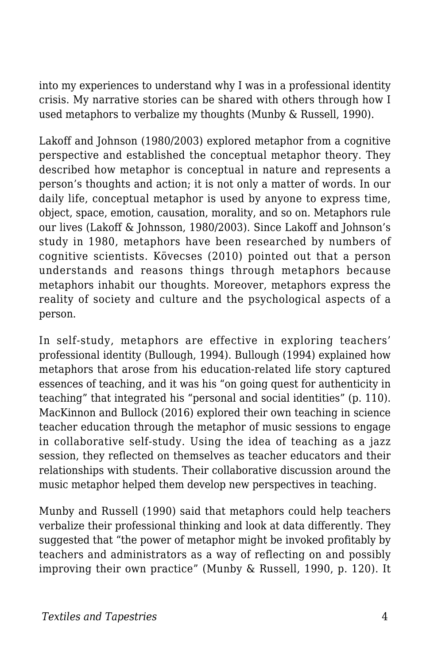into my experiences to understand why I was in a professional identity crisis. My narrative stories can be shared with others through how I used metaphors to verbalize my thoughts (Munby & Russell, 1990).

Lakoff and Johnson (1980/2003) explored metaphor from a cognitive perspective and established the conceptual metaphor theory. They described how metaphor is conceptual in nature and represents a person's thoughts and action; it is not only a matter of words. In our daily life, conceptual metaphor is used by anyone to express time, object, space, emotion, causation, morality, and so on. Metaphors rule our lives (Lakoff & Johnsson, 1980/2003). Since Lakoff and Johnson's study in 1980, metaphors have been researched by numbers of cognitive scientists. Kövecses (2010) pointed out that a person understands and reasons things through metaphors because metaphors inhabit our thoughts. Moreover, metaphors express the reality of society and culture and the psychological aspects of a person.

In self-study, metaphors are effective in exploring teachers' professional identity (Bullough, 1994). Bullough (1994) explained how metaphors that arose from his education-related life story captured essences of teaching, and it was his "on going quest for authenticity in teaching" that integrated his "personal and social identities" (p. 110). MacKinnon and Bullock (2016) explored their own teaching in science teacher education through the metaphor of music sessions to engage in collaborative self-study. Using the idea of teaching as a jazz session, they reflected on themselves as teacher educators and their relationships with students. Their collaborative discussion around the music metaphor helped them develop new perspectives in teaching.

Munby and Russell (1990) said that metaphors could help teachers verbalize their professional thinking and look at data differently. They suggested that "the power of metaphor might be invoked profitably by teachers and administrators as a way of reflecting on and possibly improving their own practice" (Munby & Russell, 1990, p. 120). It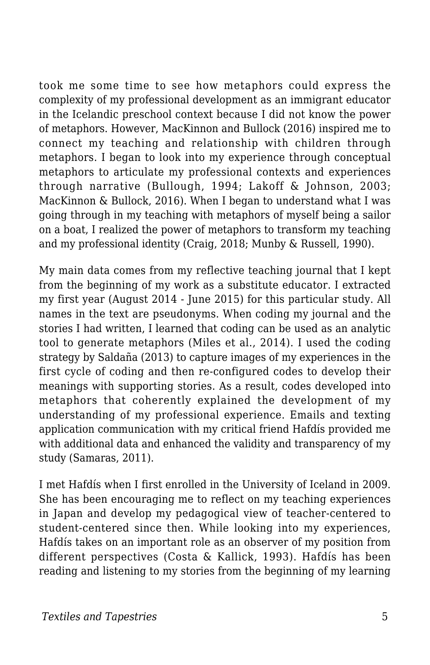took me some time to see how metaphors could express the complexity of my professional development as an immigrant educator in the Icelandic preschool context because I did not know the power of metaphors. However, MacKinnon and Bullock (2016) inspired me to connect my teaching and relationship with children through metaphors. I began to look into my experience through conceptual metaphors to articulate my professional contexts and experiences through narrative (Bullough, 1994; Lakoff & Johnson, 2003; MacKinnon & Bullock, 2016). When I began to understand what I was going through in my teaching with metaphors of myself being a sailor on a boat, I realized the power of metaphors to transform my teaching and my professional identity (Craig, 2018; Munby & Russell, 1990).

My main data comes from my reflective teaching journal that I kept from the beginning of my work as a substitute educator. I extracted my first year (August 2014 - June 2015) for this particular study. All names in the text are pseudonyms. When coding my journal and the stories I had written, I learned that coding can be used as an analytic tool to generate metaphors (Miles et al., 2014). I used the coding strategy by Saldaña (2013) to capture images of my experiences in the first cycle of coding and then re-configured codes to develop their meanings with supporting stories. As a result, codes developed into metaphors that coherently explained the development of my understanding of my professional experience. Emails and texting application communication with my critical friend Hafdís provided me with additional data and enhanced the validity and transparency of my study (Samaras, 2011).

I met Hafdís when I first enrolled in the University of Iceland in 2009. She has been encouraging me to reflect on my teaching experiences in Japan and develop my pedagogical view of teacher-centered to student-centered since then. While looking into my experiences, Hafdís takes on an important role as an observer of my position from different perspectives (Costa & Kallick, 1993). Hafdís has been reading and listening to my stories from the beginning of my learning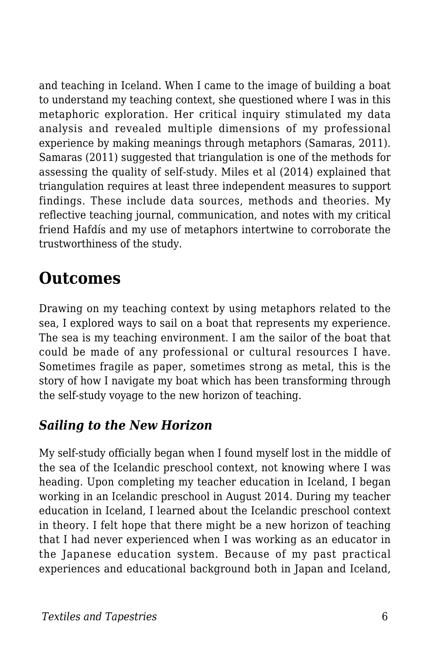and teaching in Iceland. When I came to the image of building a boat to understand my teaching context, she questioned where I was in this metaphoric exploration. Her critical inquiry stimulated my data analysis and revealed multiple dimensions of my professional experience by making meanings through metaphors (Samaras, 2011). Samaras (2011) suggested that triangulation is one of the methods for assessing the quality of self-study. Miles et al (2014) explained that triangulation requires at least three independent measures to support findings. These include data sources, methods and theories. My reflective teaching journal, communication, and notes with my critical friend Hafdís and my use of metaphors intertwine to corroborate the trustworthiness of the study.

## **Outcomes**

Drawing on my teaching context by using metaphors related to the sea, I explored ways to sail on a boat that represents my experience. The sea is my teaching environment. I am the sailor of the boat that could be made of any professional or cultural resources I have. Sometimes fragile as paper, sometimes strong as metal, this is the story of how I navigate my boat which has been transforming through the self-study voyage to the new horizon of teaching.

#### *Sailing to the New Horizon*

My self-study officially began when I found myself lost in the middle of the sea of the Icelandic preschool context, not knowing where I was heading. Upon completing my teacher education in Iceland, I began working in an Icelandic preschool in August 2014. During my teacher education in Iceland, I learned about the Icelandic preschool context in theory. I felt hope that there might be a new horizon of teaching that I had never experienced when I was working as an educator in the Japanese education system. Because of my past practical experiences and educational background both in Japan and Iceland,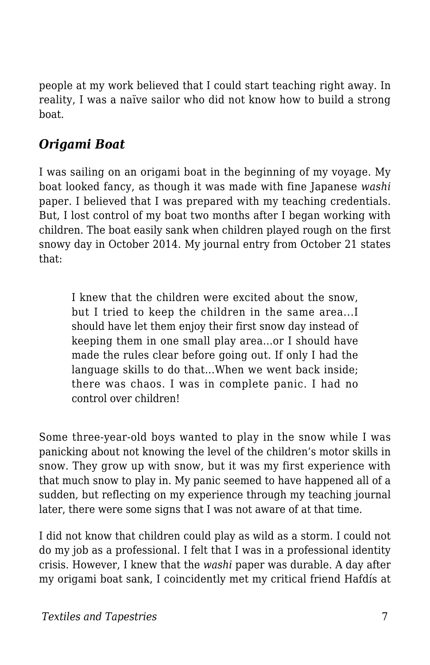people at my work believed that I could start teaching right away. In reality, I was a naïve sailor who did not know how to build a strong boat.

#### *Origami Boat*

I was sailing on an origami boat in the beginning of my voyage. My boat looked fancy, as though it was made with fine Japanese *washi* paper. I believed that I was prepared with my teaching credentials. But, I lost control of my boat two months after I began working with children. The boat easily sank when children played rough on the first snowy day in October 2014. My journal entry from October 21 states that:

I knew that the children were excited about the snow, but I tried to keep the children in the same area...I should have let them enjoy their first snow day instead of keeping them in one small play area...or I should have made the rules clear before going out. If only I had the language skills to do that...When we went back inside; there was chaos. I was in complete panic. I had no control over children!

Some three-year-old boys wanted to play in the snow while I was panicking about not knowing the level of the children's motor skills in snow. They grow up with snow, but it was my first experience with that much snow to play in. My panic seemed to have happened all of a sudden, but reflecting on my experience through my teaching journal later, there were some signs that I was not aware of at that time.

I did not know that children could play as wild as a storm. I could not do my job as a professional. I felt that I was in a professional identity crisis. However, I knew that the *washi* paper was durable. A day after my origami boat sank, I coincidently met my critical friend Hafdís at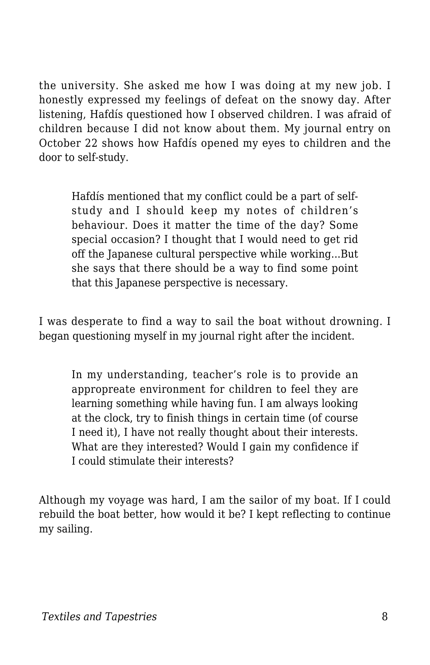the university. She asked me how I was doing at my new job. I honestly expressed my feelings of defeat on the snowy day. After listening, Hafdís questioned how I observed children. I was afraid of children because I did not know about them. My journal entry on October 22 shows how Hafdís opened my eyes to children and the door to self-study.

Hafdís mentioned that my conflict could be a part of selfstudy and I should keep my notes of children's behaviour. Does it matter the time of the day? Some special occasion? I thought that I would need to get rid off the Japanese cultural perspective while working...But she says that there should be a way to find some point that this Japanese perspective is necessary.

I was desperate to find a way to sail the boat without drowning. I began questioning myself in my journal right after the incident.

In my understanding, teacher's role is to provide an appropreate environment for children to feel they are learning something while having fun. I am always looking at the clock, try to finish things in certain time (of course I need it), I have not really thought about their interests. What are they interested? Would I gain my confidence if I could stimulate their interests?

Although my voyage was hard, I am the sailor of my boat. If I could rebuild the boat better, how would it be? I kept reflecting to continue my sailing.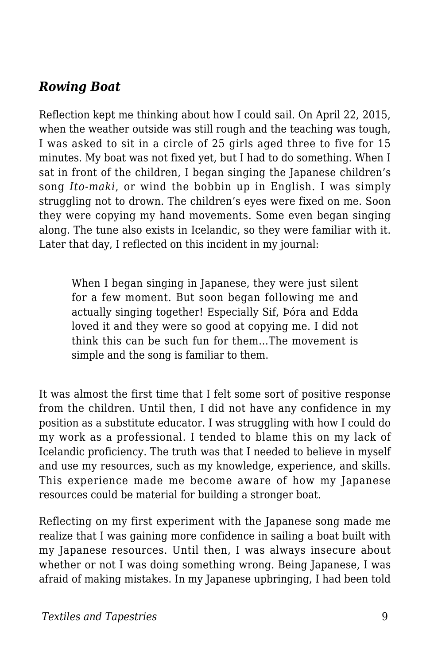#### *Rowing Boat*

Reflection kept me thinking about how I could sail. On April 22, 2015, when the weather outside was still rough and the teaching was tough, I was asked to sit in a circle of 25 girls aged three to five for 15 minutes. My boat was not fixed yet, but I had to do something. When I sat in front of the children, I began singing the Japanese children's song *Ito-maki*, or wind the bobbin up in English. I was simply struggling not to drown. The children's eyes were fixed on me. Soon they were copying my hand movements. Some even began singing along. The tune also exists in Icelandic, so they were familiar with it. Later that day, I reflected on this incident in my journal:

When I began singing in Japanese, they were just silent for a few moment. But soon began following me and actually singing together! Especially Sif, Þóra and Edda loved it and they were so good at copying me. I did not think this can be such fun for them…The movement is simple and the song is familiar to them.

It was almost the first time that I felt some sort of positive response from the children. Until then, I did not have any confidence in my position as a substitute educator. I was struggling with how I could do my work as a professional. I tended to blame this on my lack of Icelandic proficiency. The truth was that I needed to believe in myself and use my resources, such as my knowledge, experience, and skills. This experience made me become aware of how my Japanese resources could be material for building a stronger boat.

Reflecting on my first experiment with the Japanese song made me realize that I was gaining more confidence in sailing a boat built with my Japanese resources. Until then, I was always insecure about whether or not I was doing something wrong. Being Japanese, I was afraid of making mistakes. In my Japanese upbringing, I had been told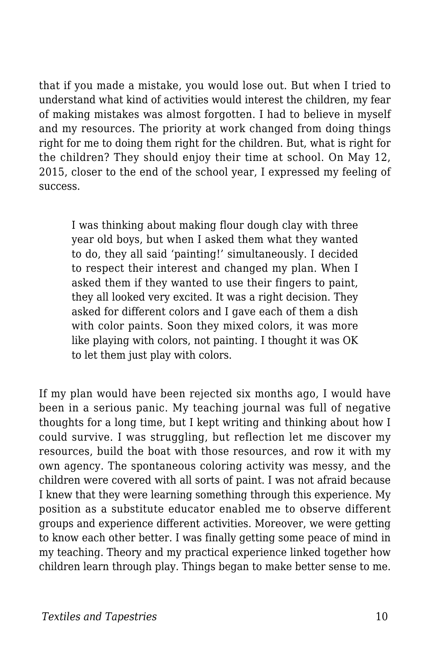that if you made a mistake, you would lose out. But when I tried to understand what kind of activities would interest the children, my fear of making mistakes was almost forgotten. I had to believe in myself and my resources. The priority at work changed from doing things right for me to doing them right for the children. But, what is right for the children? They should enjoy their time at school. On May 12, 2015, closer to the end of the school year, I expressed my feeling of success.

I was thinking about making flour dough clay with three year old boys, but when I asked them what they wanted to do, they all said 'painting!' simultaneously. I decided to respect their interest and changed my plan. When I asked them if they wanted to use their fingers to paint, they all looked very excited. It was a right decision. They asked for different colors and I gave each of them a dish with color paints. Soon they mixed colors, it was more like playing with colors, not painting. I thought it was OK to let them just play with colors.

If my plan would have been rejected six months ago, I would have been in a serious panic. My teaching journal was full of negative thoughts for a long time, but I kept writing and thinking about how I could survive. I was struggling, but reflection let me discover my resources, build the boat with those resources, and row it with my own agency. The spontaneous coloring activity was messy, and the children were covered with all sorts of paint. I was not afraid because I knew that they were learning something through this experience. My position as a substitute educator enabled me to observe different groups and experience different activities. Moreover, we were getting to know each other better. I was finally getting some peace of mind in my teaching. Theory and my practical experience linked together how children learn through play. Things began to make better sense to me.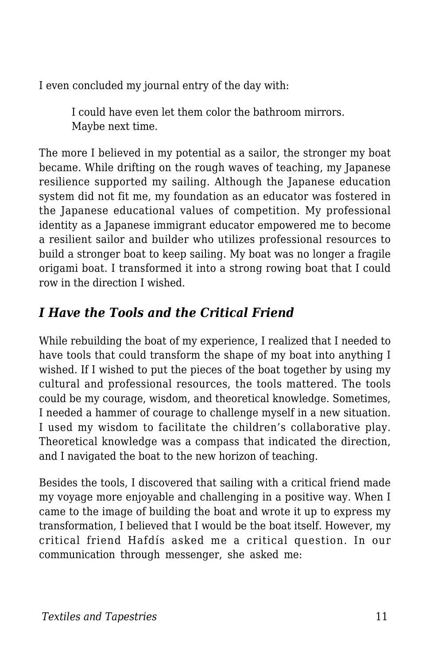I even concluded my journal entry of the day with:

I could have even let them color the bathroom mirrors. Maybe next time.

The more I believed in my potential as a sailor, the stronger my boat became. While drifting on the rough waves of teaching, my Japanese resilience supported my sailing. Although the Japanese education system did not fit me, my foundation as an educator was fostered in the Japanese educational values of competition. My professional identity as a Japanese immigrant educator empowered me to become a resilient sailor and builder who utilizes professional resources to build a stronger boat to keep sailing. My boat was no longer a fragile origami boat. I transformed it into a strong rowing boat that I could row in the direction I wished.

#### *I Have the Tools and the Critical Friend*

While rebuilding the boat of my experience, I realized that I needed to have tools that could transform the shape of my boat into anything I wished. If I wished to put the pieces of the boat together by using my cultural and professional resources, the tools mattered. The tools could be my courage, wisdom, and theoretical knowledge. Sometimes, I needed a hammer of courage to challenge myself in a new situation. I used my wisdom to facilitate the children's collaborative play. Theoretical knowledge was a compass that indicated the direction, and I navigated the boat to the new horizon of teaching.

Besides the tools, I discovered that sailing with a critical friend made my voyage more enjoyable and challenging in a positive way. When I came to the image of building the boat and wrote it up to express my transformation, I believed that I would be the boat itself. However, my critical friend Hafdís asked me a critical question. In our communication through messenger, she asked me: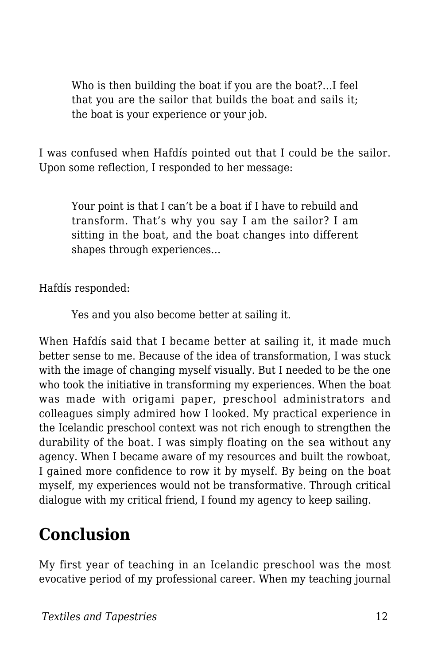Who is then building the boat if you are the boat?…I feel that you are the sailor that builds the boat and sails it; the boat is your experience or your job.

I was confused when Hafdís pointed out that I could be the sailor. Upon some reflection, I responded to her message:

Your point is that I can't be a boat if I have to rebuild and transform. That's why you say I am the sailor? I am sitting in the boat, and the boat changes into different shapes through experiences…

Hafdís responded:

Yes and you also become better at sailing it.

When Hafdís said that I became better at sailing it, it made much better sense to me. Because of the idea of transformation, I was stuck with the image of changing myself visually. But I needed to be the one who took the initiative in transforming my experiences. When the boat was made with origami paper, preschool administrators and colleagues simply admired how I looked. My practical experience in the Icelandic preschool context was not rich enough to strengthen the durability of the boat. I was simply floating on the sea without any agency. When I became aware of my resources and built the rowboat, I gained more confidence to row it by myself. By being on the boat myself, my experiences would not be transformative. Through critical dialogue with my critical friend, I found my agency to keep sailing.

### **Conclusion**

My first year of teaching in an Icelandic preschool was the most evocative period of my professional career. When my teaching journal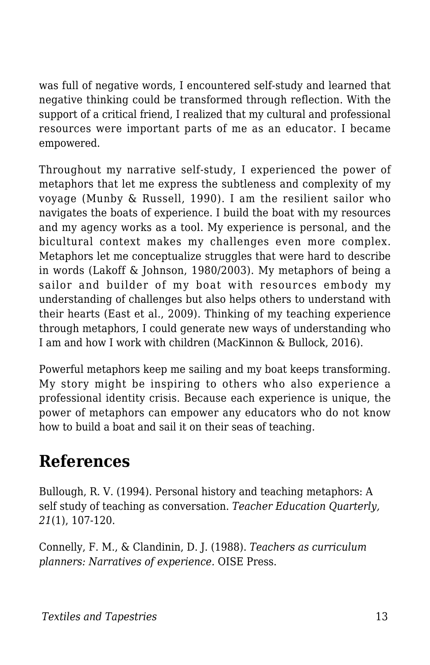was full of negative words, I encountered self-study and learned that negative thinking could be transformed through reflection. With the support of a critical friend, I realized that my cultural and professional resources were important parts of me as an educator. I became empowered.

Throughout my narrative self-study, I experienced the power of metaphors that let me express the subtleness and complexity of my voyage (Munby & Russell, 1990). I am the resilient sailor who navigates the boats of experience. I build the boat with my resources and my agency works as a tool. My experience is personal, and the bicultural context makes my challenges even more complex. Metaphors let me conceptualize struggles that were hard to describe in words (Lakoff & Johnson, 1980/2003). My metaphors of being a sailor and builder of my boat with resources embody my understanding of challenges but also helps others to understand with their hearts (East et al., 2009). Thinking of my teaching experience through metaphors, I could generate new ways of understanding who I am and how I work with children (MacKinnon & Bullock, 2016).

Powerful metaphors keep me sailing and my boat keeps transforming. My story might be inspiring to others who also experience a professional identity crisis. Because each experience is unique, the power of metaphors can empower any educators who do not know how to build a boat and sail it on their seas of teaching.

## **References**

Bullough, R. V. (1994). Personal history and teaching metaphors: A self study of teaching as conversation. *Teacher Education Quarterly, 21*(1), 107-120.

Connelly, F. M., & Clandinin, D. J. (1988). *Teachers as curriculum planners: Narratives of experience.* OISE Press.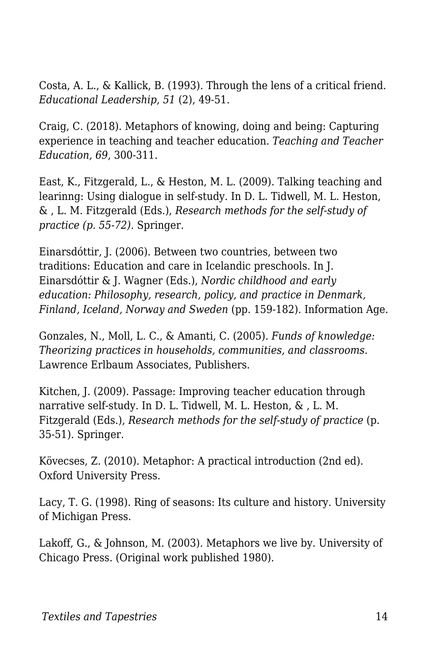Costa, A. L., & Kallick, B. (1993). Through the lens of a critical friend. *Educational Leadership, 51* (2), 49-51.

Craig, C. (2018). Metaphors of knowing, doing and being: Capturing experience in teaching and teacher education. *Teaching and Teacher Education, 69*, 300-311.

East, K., Fitzgerald, L., & Heston, M. L. (2009). Talking teaching and learinng: Using dialogue in self-study. In D. L. Tidwell, M. L. Heston, & , L. M. Fitzgerald (Eds.), *Research methods for the self-study of practice (p. 55-72).* Springer.

Einarsdóttir, J. (2006). Between two countries, between two traditions: Education and care in Icelandic preschools. In J. Einarsdóttir & J. Wagner (Eds.), *Nordic childhood and early education: Philosophy, research, policy, and practice in Denmark, Finland, Iceland, Norway and Sweden* (pp. 159-182). Information Age.

Gonzales, N., Moll, L. C., & Amanti, C. (2005). *Funds of knowledge: Theorizing practices in households, communities, and classrooms.* Lawrence Erlbaum Associates, Publishers.

Kitchen, J. (2009). Passage: Improving teacher education through narrative self-study. In D. L. Tidwell, M. L. Heston, & , L. M. Fitzgerald (Eds.), *Research methods for the self-study of practice* (p. 35-51)*.* Springer.

Kövecses, Z. (2010). Metaphor: A practical introduction (2nd ed). Oxford University Press.

Lacy, T. G. (1998). Ring of seasons: Its culture and history. University of Michigan Press.

Lakoff, G., & Johnson, M. (2003). Metaphors we live by. University of Chicago Press. (Original work published 1980).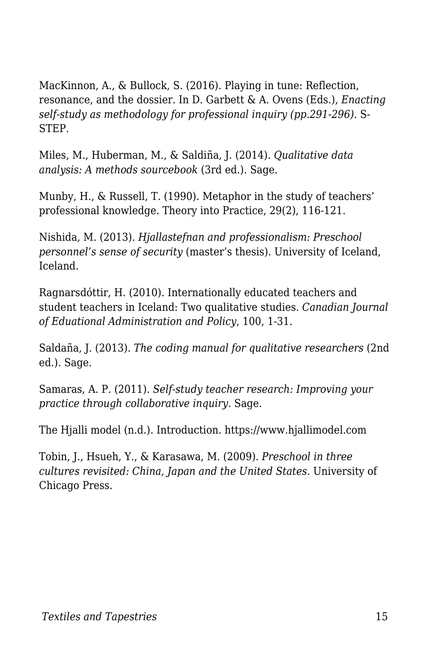MacKinnon, A., & Bullock, S. (2016). Playing in tune: Reflection, resonance, and the dossier. In D. Garbett & A. Ovens (Eds.), *Enacting self-study as methodology for professional inquiry (pp.291-296).* S-STEP.

Miles, M., Huberman, M., & Saldiña, J. (2014). *Qualitative data analysis: A methods sourcebook* (3rd ed.). Sage.

Munby, H., & Russell, T. (1990). Metaphor in the study of teachers' professional knowledge. Theory into Practice, 29(2), 116-121.

Nishida, M. (2013). *Hjallastefnan and professionalism: Preschool personnel's sense of security* (master's thesis). University of Iceland, Iceland.

Ragnarsdóttir, H. (2010). Internationally educated teachers and student teachers in Iceland: Two qualitative studies. *Canadian Journal of Eduational Administration and Policy*, 100, 1-31.

Saldaña, J. (2013). *The coding manual for qualitative researchers* (2nd ed.). Sage.

Samaras, A. P. (2011). *Self-study teacher research: Improving your practice through collaborative inquiry*. Sage.

The Hjalli model (n.d.). Introduction. https://www.hjallimodel.com

Tobin, J., Hsueh, Y., & Karasawa, M. (2009). *Preschool in three cultures revisited: China, Japan and the United States.* University of Chicago Press.